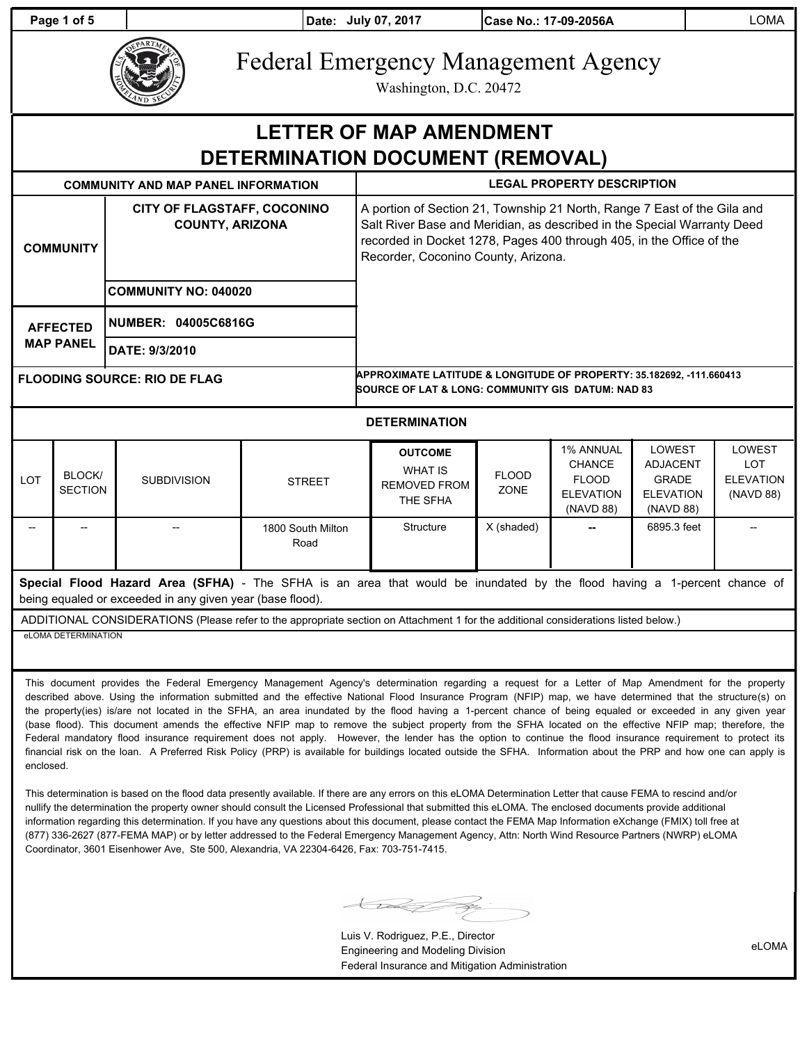**Page 1 of 5 Date: July 07, 2017 Case No.: 17-09-2056A Date: LOMA** 



# Federal Emergency Management Agency

Washington, D.C. 20472

## **LETTER OF MAP AMENDMENT DETERMINATION DOCUMENT (REMOVAL)**

| <b>COMMUNITY AND MAP PANEL INFORMATION</b> |                                                       | <b>LEGAL PROPERTY DESCRIPTION</b>                                                                                                                                                                                                                                  |  |  |  |
|--------------------------------------------|-------------------------------------------------------|--------------------------------------------------------------------------------------------------------------------------------------------------------------------------------------------------------------------------------------------------------------------|--|--|--|
| <b>COMMUNITY</b>                           | CITY OF FLAGSTAFF, COCONINO<br><b>COUNTY, ARIZONA</b> | A portion of Section 21, Township 21 North, Range 7 East of the Gila and<br>Salt River Base and Meridian, as described in the Special Warranty Deed<br>recorded in Docket 1278, Pages 400 through 405, in the Office of the<br>Recorder, Coconino County, Arizona. |  |  |  |
|                                            | COMMUNITY NO: 040020                                  |                                                                                                                                                                                                                                                                    |  |  |  |
| <b>AFFECTED</b><br><b>MAP PANEL</b>        | NUMBER: 04005C6816G                                   |                                                                                                                                                                                                                                                                    |  |  |  |
|                                            | DATE: 9/3/2010                                        |                                                                                                                                                                                                                                                                    |  |  |  |
| <b>FLOODING SOURCE: RIO DE FLAG</b>        |                                                       | APPROXIMATE LATITUDE & LONGITUDE OF PROPERTY: 35.182692, -111.660413<br><b>SOURCE OF LAT &amp; LONG: COMMUNITY GIS DATUM: NAD 83</b>                                                                                                                               |  |  |  |

#### **DETERMINATION**

| <b>LOT</b> | <b>BLOCK/</b><br>SECTION | <b>SUBDIVISION</b> | <b>STREET</b>             | <b>OUTCOME</b><br><b>WHAT IS</b><br><b>REMOVED FROM</b><br>THE SFHA | <b>FLOOD</b><br><b>ZONE</b> | <b>1% ANNUAL</b><br><b>CHANCE</b><br><b>FLOOD</b><br><b>ELEVATION</b><br>(NAVD 88) | LOWEST<br>ADJACENT<br><b>GRADE</b><br><b>ELEVATION</b><br>(NAVD 88) | LOWEST<br>LOT<br>ELEVATION<br>(NAVD 88) |
|------------|--------------------------|--------------------|---------------------------|---------------------------------------------------------------------|-----------------------------|------------------------------------------------------------------------------------|---------------------------------------------------------------------|-----------------------------------------|
| $- -$      | --                       | --                 | 1800 South Milton<br>Road | Structure                                                           | X (shaded)                  | $-$                                                                                | 6895.3 feet                                                         | --                                      |

**Special Flood Hazard Area (SFHA)** - The SFHA is an area that would be inundated by the flood having a 1-percent chance of being equaled or exceeded in any given year (base flood).

ADDITIONAL CONSIDERATIONS (Please refer to the appropriate section on Attachment 1 for the additional considerations listed below.) eLOMA DETERMINATION

This document provides the Federal Emergency Management Agency's determination regarding a request for a Letter of Map Amendment for the property described above. Using the information submitted and the effective National Flood Insurance Program (NFIP) map, we have determined that the structure(s) on the property(ies) is/are not located in the SFHA, an area inundated by the flood having a 1-percent chance of being equaled or exceeded in any given year (base flood). This document amends the effective NFIP map to remove the subject property from the SFHA located on the effective NFIP map; therefore, the Federal mandatory flood insurance requirement does not apply. However, the lender has the option to continue the flood insurance requirement to protect its financial risk on the loan. A Preferred Risk Policy (PRP) is available for buildings located outside the SFHA. Information about the PRP and how one can apply is enclosed.

This determination is based on the flood data presently available. If there are any errors on this eLOMA Determination Letter that cause FEMA to rescind and/or nullify the determination the property owner should consult the Licensed Professional that submitted this eLOMA. The enclosed documents provide additional information regarding this determination. If you have any questions about this document, please contact the FEMA Map Information eXchange (FMIX) toll free at (877) 336-2627 (877-FEMA MAP) or by letter addressed to the Federal Emergency Management Agency, Attn: North Wind Resource Partners (NWRP) eLOMA Coordinator, 3601 Eisenhower Ave, Ste 500, Alexandria, VA 22304-6426, Fax: 703-751-7415.

Kal P

Luis V. Rodriguez, P.E., Director Engineering and Modeling Division Federal Insurance and Mitigation Administration

eLOMA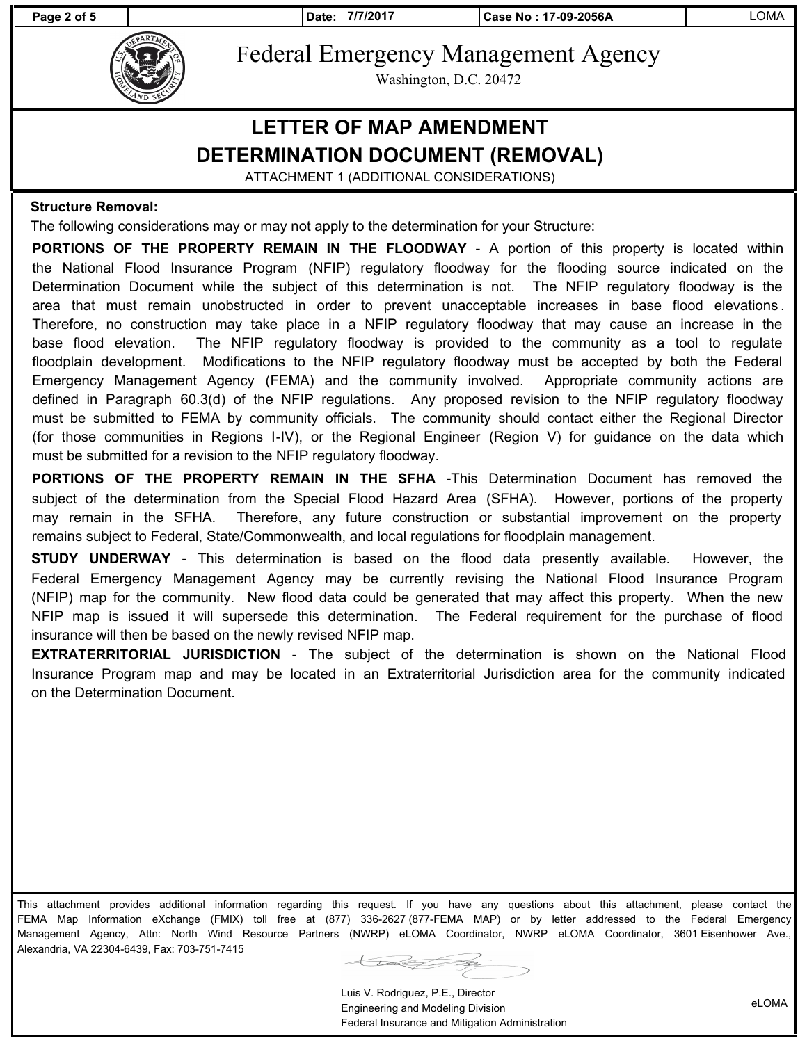**Page 2 of 5 Date: 7/7/2017 Case No : 17-09-2056A** LOMA



Federal Emergency Management Agency

Washington, D.C. 20472

### **LETTER OF MAP AMENDMENT DETERMINATION DOCUMENT (REMOVAL)**

ATTACHMENT 1 (ADDITIONAL CONSIDERATIONS)

#### **Structure Removal:**

The following considerations may or may not apply to the determination for your Structure:

**PORTIONS OF THE PROPERTY REMAIN IN THE FLOODWAY** - A portion of this property is located within the National Flood Insurance Program (NFIP) regulatory floodway for the flooding source indicated on the Determination Document while the subject of this determination is not. The NFIP regulatory floodway is the area that must remain unobstructed in order to prevent unacceptable increases in base flood elevations . Therefore, no construction may take place in a NFIP regulatory floodway that may cause an increase in the base flood elevation. The NFIP regulatory floodway is provided to the community as a tool to regulate floodplain development. Modifications to the NFIP regulatory floodway must be accepted by both the Federal Emergency Management Agency (FEMA) and the community involved. Appropriate community actions are defined in Paragraph 60.3(d) of the NFIP regulations. Any proposed revision to the NFIP regulatory floodway must be submitted to FEMA by community officials. The community should contact either the Regional Director (for those communities in Regions I-IV), or the Regional Engineer (Region V) for guidance on the data which must be submitted for a revision to the NFIP regulatory floodway.

**PORTIONS OF THE PROPERTY REMAIN IN THE SFHA** -This Determination Document has removed the subject of the determination from the Special Flood Hazard Area (SFHA). However, portions of the property may remain in the SFHA. Therefore, any future construction or substantial improvement on the property remains subject to Federal, State/Commonwealth, and local regulations for floodplain management.

**STUDY UNDERWAY** - This determination is based on the flood data presently available. However, the Federal Emergency Management Agency may be currently revising the National Flood Insurance Program (NFIP) map for the community. New flood data could be generated that may affect this property. When the new NFIP map is issued it will supersede this determination. The Federal requirement for the purchase of flood insurance will then be based on the newly revised NFIP map.

**EXTRATERRITORIAL JURISDICTION** - The subject of the determination is shown on the National Flood Insurance Program map and may be located in an Extraterritorial Jurisdiction area for the community indicated on the Determination Document.

This attachment provides additional information regarding this request. If you have any questions about this attachment, please contact the FEMA Map Information eXchange (FMIX) toll free at (877) 336-2627 (877-FEMA MAP) or by letter addressed to the Federal Emergency Management Agency, Attn: North Wind Resource Partners (NWRP) eLOMA Coordinator, NWRP eLOMA Coordinator, 3601 Eisenhower Ave., Alexandria, VA 22304-6439, Fax: 703-751-7415

Luis V. Rodriguez, P.E., Director Engineering and Modeling Division Federal Insurance and Mitigation Administration